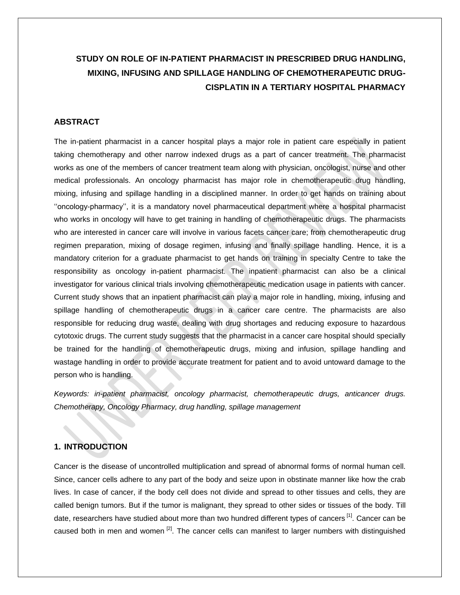# **STUDY ON ROLE OF IN-PATIENT PHARMACIST IN PRESCRIBED DRUG HANDLING, MIXING, INFUSING AND SPILLAGE HANDLING OF CHEMOTHERAPEUTIC DRUG-CISPLATIN IN A TERTIARY HOSPITAL PHARMACY**

# **ABSTRACT**

The in-patient pharmacist in a cancer hospital plays a major role in patient care especially in patient taking chemotherapy and other narrow indexed drugs as a part of cancer treatment. The pharmacist works as one of the members of cancer treatment team along with physician, oncologist, nurse and other medical professionals. An oncology pharmacist has major role in chemotherapeutic drug handling, mixing, infusing and spillage handling in a disciplined manner. In order to get hands on training about ''oncology-pharmacy'', it is a mandatory novel pharmaceutical department where a hospital pharmacist who works in oncology will have to get training in handling of chemotherapeutic drugs. The pharmacists who are interested in cancer care will involve in various facets cancer care; from chemotherapeutic drug regimen preparation, mixing of dosage regimen, infusing and finally spillage handling. Hence, it is a mandatory criterion for a graduate pharmacist to get hands on training in specialty Centre to take the responsibility as oncology in-patient pharmacist. The inpatient pharmacist can also be a clinical investigator for various clinical trials involving chemotherapeutic medication usage in patients with cancer. Current study shows that an inpatient pharmacist can play a major role in handling, mixing, infusing and spillage handling of chemotherapeutic drugs in a cancer care centre. The pharmacists are also responsible for reducing drug waste, dealing with drug shortages and reducing exposure to hazardous cytotoxic drugs. The current study suggests that the pharmacist in a cancer care hospital should specially be trained for the handling of chemotherapeutic drugs, mixing and infusion, spillage handling and wastage handling in order to provide accurate treatment for patient and to avoid untoward damage to the person who is handling.

*Keywords: in-patient pharmacist, oncology pharmacist, chemotherapeutic drugs, anticancer drugs. Chemotherapy, Oncology Pharmacy, drug handling, spillage management*

# **1. INTRODUCTION**

Cancer is the disease of uncontrolled multiplication and spread of abnormal forms of normal human cell. Since, cancer cells adhere to any part of the body and seize upon in obstinate manner like how the crab lives. In case of cancer, if the body cell does not divide and spread to other tissues and cells, they are called benign tumors. But if the tumor is malignant, they spread to other sides or tissues of the body. Till date, researchers have studied about more than two hundred different types of cancers <sup>[1]</sup>. Cancer can be caused both in men and women <sup>[2]</sup>. The cancer cells can manifest to larger numbers with distinguished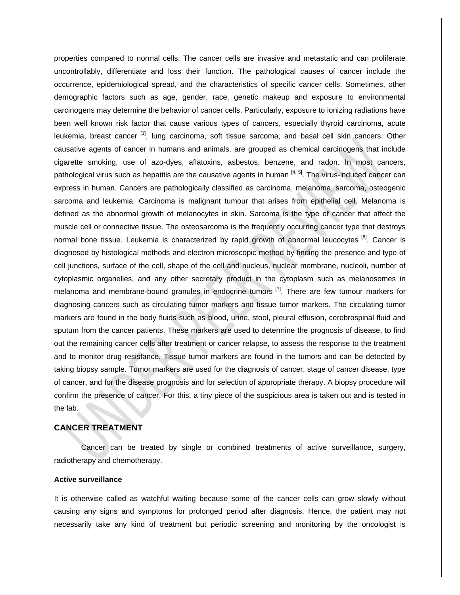properties compared to normal cells. The cancer cells are invasive and metastatic and can proliferate uncontrollably, differentiate and loss their function. The pathological causes of cancer include the occurrence, epidemiological spread, and the characteristics of specific cancer cells. Sometimes, other demographic factors such as age, gender, race, genetic makeup and exposure to environmental carcinogens may determine the behavior of cancer cells. Particularly, exposure to ionizing radiations have been well known risk factor that cause various types of cancers, especially thyroid carcinoma, acute leukemia, breast cancer <sup>[3]</sup>, lung carcinoma, soft tissue sarcoma, and basal cell skin cancers. Other causative agents of cancer in humans and animals. are grouped as chemical carcinogens that include cigarette smoking, use of azo-dyes, aflatoxins, asbestos, benzene, and radon. In most cancers, pathological virus such as hepatitis are the causative agents in human <sup>[4, 5]</sup>. The virus-induced cancer can express in human. Cancers are pathologically classified as carcinoma, melanoma, sarcoma, osteogenic sarcoma and leukemia. Carcinoma is malignant tumour that arises from epithelial cell. Melanoma is defined as the abnormal growth of melanocytes in skin. Sarcoma is the type of cancer that affect the muscle cell or connective tissue. The osteosarcoma is the frequently occurring cancer type that destroys normal bone tissue. Leukemia is characterized by rapid growth of abnormal leucocytes <sup>[6]</sup>. Cancer is diagnosed by histological methods and electron microscopic method by finding the presence and type of cell junctions, surface of the cell, shape of the cell and nucleus, nuclear membrane, nucleoli, number of cytoplasmic organelles, and any other secretary product in the cytoplasm such as melanosomes in melanoma and membrane-bound granules in endocrine tumors <sup>[7]</sup>. There are few tumour markers for diagnosing cancers such as circulating tumor markers and tissue tumor markers. The circulating tumor markers are found in the body fluids such as blood, urine, stool, pleural effusion, cerebrospinal fluid and sputum from the cancer patients. These markers are used to determine the prognosis of disease, to find out the remaining cancer cells after treatment or cancer relapse, to assess the response to the treatment and to monitor drug resistance. Tissue tumor markers are found in the tumors and can be detected by taking biopsy sample. Tumor markers are used for the diagnosis of cancer, stage of cancer disease, type of cancer, and for the disease prognosis and for selection of appropriate therapy. A biopsy procedure will confirm the presence of cancer. For this, a tiny piece of the suspicious area is taken out and is tested in the lab.

# **CANCER TREATMENT**

Cancer can be treated by single or combined treatments of active surveillance, surgery, radiotherapy and chemotherapy.

# **Active surveillance**

It is otherwise called as watchful waiting because some of the cancer cells can grow slowly without causing any signs and symptoms for prolonged period after diagnosis. Hence, the patient may not necessarily take any kind of treatment but periodic screening and monitoring by the oncologist is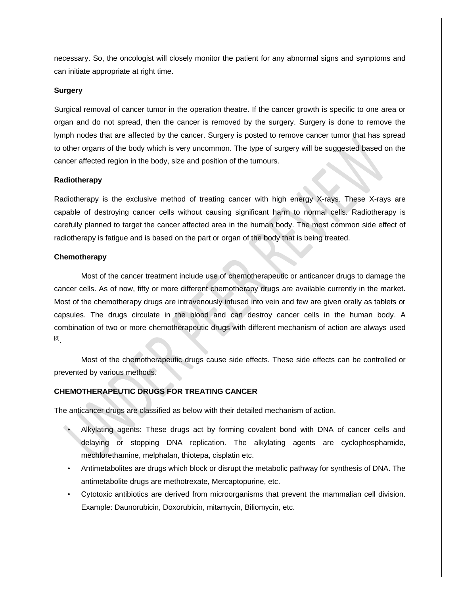necessary. So, the oncologist will closely monitor the patient for any abnormal signs and symptoms and can initiate appropriate at right time.

# **Surgery**

Surgical removal of cancer tumor in the operation theatre. If the cancer growth is specific to one area or organ and do not spread, then the cancer is removed by the surgery. Surgery is done to remove the lymph nodes that are affected by the cancer. Surgery is posted to remove cancer tumor that has spread to other organs of the body which is very uncommon. The type of surgery will be suggested based on the cancer affected region in the body, size and position of the tumours.

# **Radiotherapy**

Radiotherapy is the exclusive method of treating cancer with high energy X-rays. These X-rays are capable of destroying cancer cells without causing significant harm to normal cells. Radiotherapy is carefully planned to target the cancer affected area in the human body. The most common side effect of radiotherapy is fatigue and is based on the part or organ of the body that is being treated.

# **Chemotherapy**

Most of the cancer treatment include use of chemotherapeutic or anticancer drugs to damage the cancer cells. As of now, fifty or more different chemotherapy drugs are available currently in the market. Most of the chemotherapy drugs are intravenously infused into vein and few are given orally as tablets or capsules. The drugs circulate in the blood and can destroy cancer cells in the human body. A combination of two or more chemotherapeutic drugs with different mechanism of action are always used [8] .

Most of the chemotherapeutic drugs cause side effects. These side effects can be controlled or prevented by various methods.

# **CHEMOTHERAPEUTIC DRUGS FOR TREATING CANCER**

The anticancer drugs are classified as below with their detailed mechanism of action.

- Alkylating agents: These drugs act by forming covalent bond with DNA of cancer cells and delaying or stopping DNA replication. The alkylating agents are cyclophosphamide, mechlorethamine, melphalan, thiotepa, cisplatin etc.
- Antimetabolites are drugs which block or disrupt the metabolic pathway for synthesis of DNA. The antimetabolite drugs are methotrexate, Mercaptopurine, etc.
- Cytotoxic antibiotics are derived from microorganisms that prevent the mammalian cell division. Example: Daunorubicin, Doxorubicin, mitamycin, Biliomycin, etc.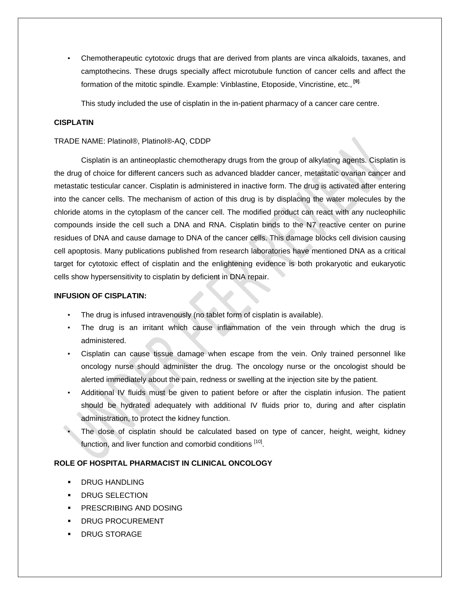• Chemotherapeutic cytotoxic drugs that are derived from plants are vinca alkaloids, taxanes, and camptothecins. These drugs specially affect microtubule function of cancer cells and affect the formation of the mitotic spindle. Example: Vinblastine, Etoposide, Vincristine, etc., **[9]**.

This study included the use of cisplatin in the in-patient pharmacy of a cancer care centre.

# **CISPLATIN**

# TRADE NAME: Platinol®, Platinol®-AQ, CDDP

Cisplatin is an antineoplastic chemotherapy drugs from the group of alkylating agents. Cisplatin is the drug of choice for different cancers such as advanced bladder cancer, metastatic ovarian cancer and metastatic testicular cancer. Cisplatin is administered in inactive form. The drug is activated after entering into the cancer cells. The mechanism of action of this drug is by displacing the water molecules by the chloride atoms in the cytoplasm of the cancer cell. The modified product can react with any nucleophilic compounds inside the cell such a DNA and RNA. Cisplatin binds to the N7 reactive center on purine residues of DNA and cause damage to DNA of the cancer cells. This damage blocks cell division causing cell apoptosis. Many publications published from research laboratories have mentioned DNA as a critical target for cytotoxic effect of cisplatin and the enlightening evidence is both prokaryotic and eukaryotic cells show hypersensitivity to cisplatin by deficient in DNA repair.

#### **INFUSION OF CISPLATIN:**

- The drug is infused intravenously (no tablet form of cisplatin is available).
- The drug is an irritant which cause inflammation of the vein through which the drug is administered.
- Cisplatin can cause tissue damage when escape from the vein. Only trained personnel like oncology nurse should administer the drug. The oncology nurse or the oncologist should be alerted immediately about the pain, redness or swelling at the injection site by the patient.
- Additional IV fluids must be given to patient before or after the cisplatin infusion. The patient should be hydrated adequately with additional IV fluids prior to, during and after cisplatin administration, to protect the kidney function.
- The dose of cisplatin should be calculated based on type of cancer, height, weight, kidney function, and liver function and comorbid conditions <sup>[10]</sup>.

# **ROLE OF HOSPITAL PHARMACIST IN CLINICAL ONCOLOGY**

- DRUG HANDLING
- DRUG SELECTION
- **PRESCRIBING AND DOSING**
- DRUG PROCUREMENT
- DRUG STORAGE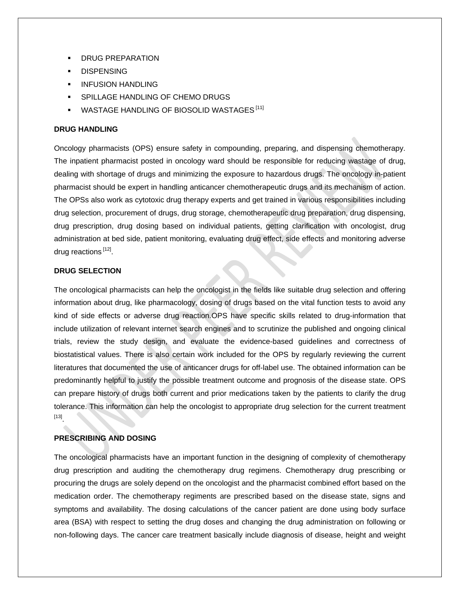- DRUG PREPARATION
- **DISPENSING**
- INFUSION HANDLING
- SPILLAGE HANDLING OF CHEMO DRUGS
- WASTAGE HANDLING OF BIOSOLID WASTAGES<sup>[11]</sup>

#### **DRUG HANDLING**

Oncology pharmacists (OPS) ensure safety in compounding, preparing, and dispensing chemotherapy. The inpatient pharmacist posted in oncology ward should be responsible for reducing wastage of drug, dealing with shortage of drugs and minimizing the exposure to hazardous drugs. The oncology in-patient pharmacist should be expert in handling anticancer chemotherapeutic drugs and its mechanism of action. The OPSs also work as cytotoxic drug therapy experts and get trained in various responsibilities including drug selection, procurement of drugs, drug storage, chemotherapeutic drug preparation, drug dispensing, drug prescription, drug dosing based on individual patients, getting clarification with oncologist, drug administration at bed side, patient monitoring, evaluating drug effect, side effects and monitoring adverse drug reactions [12].

# **DRUG SELECTION**

The oncological pharmacists can help the oncologist in the fields like suitable drug selection and offering information about drug, like pharmacology, dosing of drugs based on the vital function tests to avoid any kind of side effects or adverse drug reaction.OPS have specific skills related to drug-information that include utilization of relevant internet search engines and to scrutinize the published and ongoing clinical trials, review the study design, and evaluate the evidence-based guidelines and correctness of biostatistical values. There is also certain work included for the OPS by regularly reviewing the current literatures that documented the use of anticancer drugs for off-label use. The obtained information can be predominantly helpful to justify the possible treatment outcome and prognosis of the disease state. OPS can prepare history of drugs both current and prior medications taken by the patients to clarify the drug tolerance. This information can help the oncologist to appropriate drug selection for the current treatment [13] .

# **PRESCRIBING AND DOSING**

The oncological pharmacists have an important function in the designing of complexity of chemotherapy drug prescription and auditing the chemotherapy drug regimens. Chemotherapy drug prescribing or procuring the drugs are solely depend on the oncologist and the pharmacist combined effort based on the medication order. The chemotherapy regiments are prescribed based on the disease state, signs and symptoms and availability. The dosing calculations of the cancer patient are done using body surface area (BSA) with respect to setting the drug doses and changing the drug administration on following or non-following days. The cancer care treatment basically include diagnosis of disease, height and weight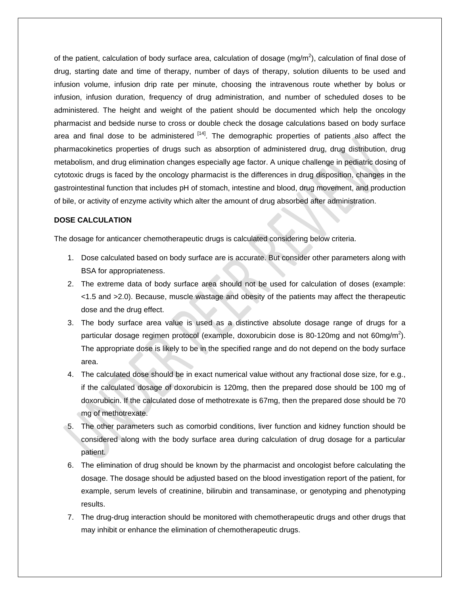of the patient, calculation of body surface area, calculation of dosage (mg/m<sup>2</sup>), calculation of final dose of drug, starting date and time of therapy, number of days of therapy, solution diluents to be used and infusion volume, infusion drip rate per minute, choosing the intravenous route whether by bolus or infusion, infusion duration, frequency of drug administration, and number of scheduled doses to be administered. The height and weight of the patient should be documented which help the oncology pharmacist and bedside nurse to cross or double check the dosage calculations based on body surface area and final dose to be administered <sup>[14]</sup>. The demographic properties of patients also affect the pharmacokinetics properties of drugs such as absorption of administered drug, drug distribution, drug metabolism, and drug elimination changes especially age factor. A unique challenge in pediatric dosing of cytotoxic drugs is faced by the oncology pharmacist is the differences in drug disposition, changes in the gastrointestinal function that includes pH of stomach, intestine and blood, drug movement, and production of bile, or activity of enzyme activity which alter the amount of drug absorbed after administration.

# **DOSE CALCULATION**

The dosage for anticancer chemotherapeutic drugs is calculated considering below criteria.

- 1. Dose calculated based on body surface are is accurate. But consider other parameters along with BSA for appropriateness.
- 2. The extreme data of body surface area should not be used for calculation of doses (example: <1.5 and >2.0). Because, muscle wastage and obesity of the patients may affect the therapeutic dose and the drug effect.
- 3. The body surface area value is used as a distinctive absolute dosage range of drugs for a particular dosage regimen protocol (example, doxorubicin dose is 80-120mg and not 60mg/m<sup>2</sup>). The appropriate dose is likely to be in the specified range and do not depend on the body surface area.
- 4. The calculated dose should be in exact numerical value without any fractional dose size, for e.g., if the calculated dosage of doxorubicin is 120mg, then the prepared dose should be 100 mg of doxorubicin. If the calculated dose of methotrexate is 67mg, then the prepared dose should be 70 mg of methotrexate.
- 5. The other parameters such as comorbid conditions, liver function and kidney function should be considered along with the body surface area during calculation of drug dosage for a particular patient.
- 6. The elimination of drug should be known by the pharmacist and oncologist before calculating the dosage. The dosage should be adjusted based on the blood investigation report of the patient, for example, serum levels of creatinine, bilirubin and transaminase, or genotyping and phenotyping results.
- 7. The drug-drug interaction should be monitored with chemotherapeutic drugs and other drugs that may inhibit or enhance the elimination of chemotherapeutic drugs.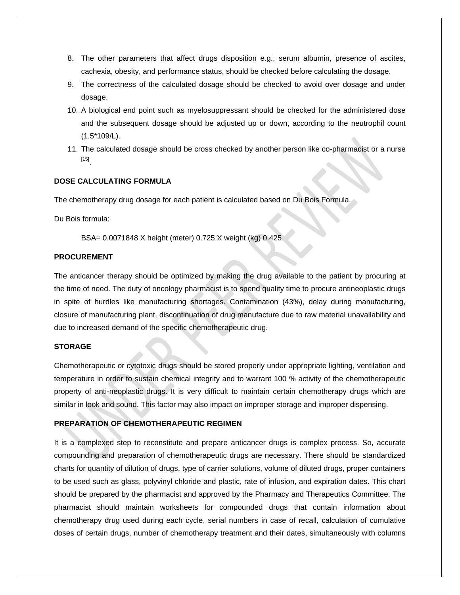- 8. The other parameters that affect drugs disposition e.g., serum albumin, presence of ascites, cachexia, obesity, and performance status, should be checked before calculating the dosage.
- 9. The correctness of the calculated dosage should be checked to avoid over dosage and under dosage.
- 10. A biological end point such as myelosuppressant should be checked for the administered dose and the subsequent dosage should be adjusted up or down, according to the neutrophil count (1.5\*109/L).
- 11. The calculated dosage should be cross checked by another person like co-pharmacist or a nurse [15] .

# **DOSE CALCULATING FORMULA**

The chemotherapy drug dosage for each patient is calculated based on Du Bois Formula.

Du Bois formula:

BSA= 0.0071848 X height (meter) 0.725 X weight (kg) 0.425

# **PROCUREMENT**

The anticancer therapy should be optimized by making the drug available to the patient by procuring at the time of need. The duty of oncology pharmacist is to spend quality time to procure antineoplastic drugs in spite of hurdles like manufacturing shortages. Contamination (43%), delay during manufacturing, closure of manufacturing plant, discontinuation of drug manufacture due to raw material unavailability and due to increased demand of the specific chemotherapeutic drug.

# **STORAGE**

Chemotherapeutic or cytotoxic drugs should be stored properly under appropriate lighting, ventilation and temperature in order to sustain chemical integrity and to warrant 100 % activity of the chemotherapeutic property of anti-neoplastic drugs. It is very difficult to maintain certain chemotherapy drugs which are similar in look and sound. This factor may also impact on improper storage and improper dispensing.

### **PREPARATION OF CHEMOTHERAPEUTIC REGIMEN**

It is a complexed step to reconstitute and prepare anticancer drugs is complex process. So, accurate compounding and preparation of chemotherapeutic drugs are necessary. There should be standardized charts for quantity of dilution of drugs, type of carrier solutions, volume of diluted drugs, proper containers to be used such as glass, polyvinyl chloride and plastic, rate of infusion, and expiration dates. This chart should be prepared by the pharmacist and approved by the Pharmacy and Therapeutics Committee. The pharmacist should maintain worksheets for compounded drugs that contain information about chemotherapy drug used during each cycle, serial numbers in case of recall, calculation of cumulative doses of certain drugs, number of chemotherapy treatment and their dates, simultaneously with columns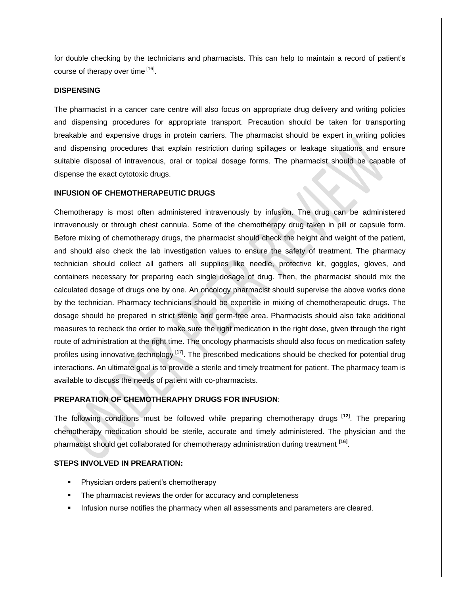for double checking by the technicians and pharmacists. This can help to maintain a record of patient's course of therapy over time [16].

#### **DISPENSING**

The pharmacist in a cancer care centre will also focus on appropriate drug delivery and writing policies and dispensing procedures for appropriate transport. Precaution should be taken for transporting breakable and expensive drugs in protein carriers. The pharmacist should be expert in writing policies and dispensing procedures that explain restriction during spillages or leakage situations and ensure suitable disposal of intravenous, oral or topical dosage forms. The pharmacist should be capable of dispense the exact cytotoxic drugs.

#### **INFUSION OF CHEMOTHERAPEUTIC DRUGS**

Chemotherapy is most often administered intravenously by infusion. The drug can be administered intravenously or through chest cannula. Some of the chemotherapy drug taken in pill or capsule form. Before mixing of chemotherapy drugs, the pharmacist should check the height and weight of the patient, and should also check the lab investigation values to ensure the safety of treatment. The pharmacy technician should collect all gathers all supplies like needle, protective kit, goggles, gloves, and containers necessary for preparing each single dosage of drug. Then, the pharmacist should mix the calculated dosage of drugs one by one. An oncology pharmacist should supervise the above works done by the technician. Pharmacy technicians should be expertise in mixing of chemotherapeutic drugs. The dosage should be prepared in strict sterile and germ-free area. Pharmacists should also take additional measures to recheck the order to make sure the right medication in the right dose, given through the right route of administration at the right time. The oncology pharmacists should also focus on medication safety profiles using innovative technology<sup>[17]</sup>. The prescribed medications should be checked for potential drug interactions. An ultimate goal is to provide a sterile and timely treatment for patient. The pharmacy team is available to discuss the needs of patient with co-pharmacists.

# **PREPARATION OF CHEMOTHERAPHY DRUGS FOR INFUSION**:

The following conditions must be followed while preparing chemotherapy drugs **[12]** . The preparing chemotherapy medication should be sterile, accurate and timely administered. The physician and the pharmacist should get collaborated for chemotherapy administration during treatment **[16]** .

# **STEPS INVOLVED IN PREARATION:**

- Physician orders patient's chemotherapy
- The pharmacist reviews the order for accuracy and completeness
- **Infusion nurse notifies the pharmacy when all assessments and parameters are cleared.**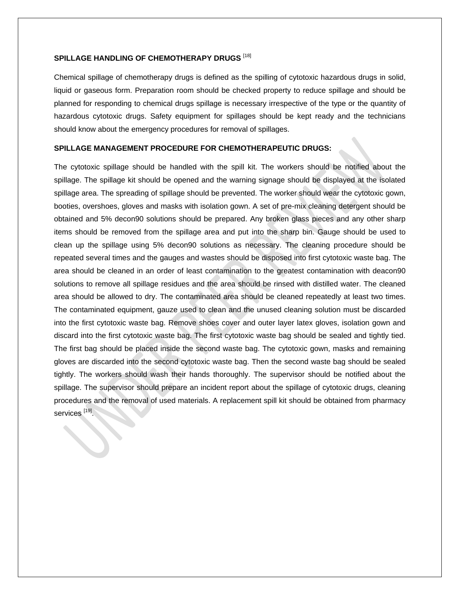#### **SPILLAGE HANDLING OF CHEMOTHERAPY DRUGS** [18]

Chemical spillage of chemotherapy drugs is defined as the spilling of cytotoxic hazardous drugs in solid, liquid or gaseous form. Preparation room should be checked property to reduce spillage and should be planned for responding to chemical drugs spillage is necessary irrespective of the type or the quantity of hazardous cytotoxic drugs. Safety equipment for spillages should be kept ready and the technicians should know about the emergency procedures for removal of spillages.

# **SPILLAGE MANAGEMENT PROCEDURE FOR CHEMOTHERAPEUTIC DRUGS:**

The cytotoxic spillage should be handled with the spill kit. The workers should be notified about the spillage. The spillage kit should be opened and the warning signage should be displayed at the isolated spillage area. The spreading of spillage should be prevented. The worker should wear the cytotoxic gown, booties, overshoes, gloves and masks with isolation gown. A set of pre-mix cleaning detergent should be obtained and 5% decon90 solutions should be prepared. Any broken glass pieces and any other sharp items should be removed from the spillage area and put into the sharp bin. Gauge should be used to clean up the spillage using 5% decon90 solutions as necessary. The cleaning procedure should be repeated several times and the gauges and wastes should be disposed into first cytotoxic waste bag. The area should be cleaned in an order of least contamination to the greatest contamination with deacon90 solutions to remove all spillage residues and the area should be rinsed with distilled water. The cleaned area should be allowed to dry. The contaminated area should be cleaned repeatedly at least two times. The contaminated equipment, gauze used to clean and the unused cleaning solution must be discarded into the first cytotoxic waste bag. Remove shoes cover and outer layer latex gloves, isolation gown and discard into the first cytotoxic waste bag. The first cytotoxic waste bag should be sealed and tightly tied. The first bag should be placed inside the second waste bag. The cytotoxic gown, masks and remaining gloves are discarded into the second cytotoxic waste bag. Then the second waste bag should be sealed tightly. The workers should wash their hands thoroughly. The supervisor should be notified about the spillage. The supervisor should prepare an incident report about the spillage of cytotoxic drugs, cleaning procedures and the removal of used materials. A replacement spill kit should be obtained from pharmacy services <sup>[19]</sup>.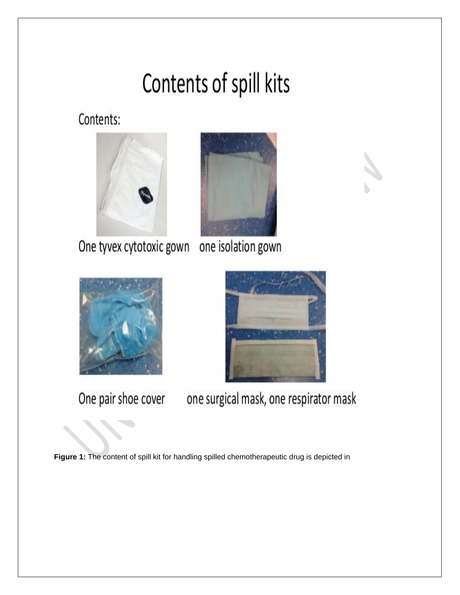# Contents of spill kits

Contents:





One tyvex cytotoxic gown one isolation gown





One pair shoe cover

one surgical mask, one respirator mask

Figure 1: The content of spill kit for handling spilled chemotherapeutic drug is depicted in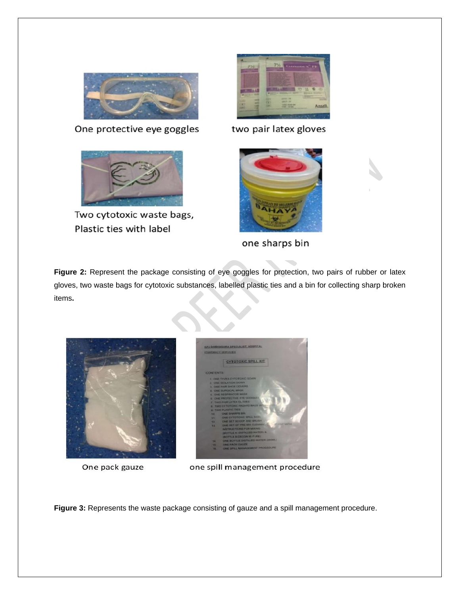

One protective eye goggles



Two cytotoxic waste bags, Plastic ties with label



two pair latex gloves



one sharps bin

Figure 2: Represent the package consisting of eye goggles for protection, two pairs of rubber or latex gloves, two waste bags for cytotoxic substances, labelled plastic ties and a bin for collecting sharp broken items**.**



One pack gauze



one spill management procedure

**Figure 3:** Represents the waste package consisting of gauze and a spill management procedure.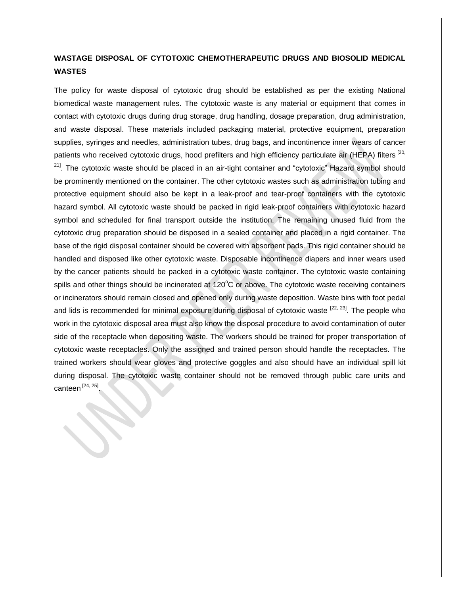# **WASTAGE DISPOSAL OF CYTOTOXIC CHEMOTHERAPEUTIC DRUGS AND BIOSOLID MEDICAL WASTES**

The policy for waste disposal of cytotoxic drug should be established as per the existing National biomedical waste management rules. The cytotoxic waste is any material or equipment that comes in contact with cytotoxic drugs during drug storage, drug handling, dosage preparation, drug administration, and waste disposal. These materials included packaging material, protective equipment, preparation supplies, syringes and needles, administration tubes, drug bags, and incontinence inner wears of cancer patients who received cytotoxic drugs, hood prefilters and high efficiency particulate air (HEPA) filters [20, <sup>21]</sup>. The cytotoxic waste should be placed in an air-tight container and "cytotoxic" Hazard symbol should be prominently mentioned on the container. The other cytotoxic wastes such as administration tubing and protective equipment should also be kept in a leak-proof and tear-proof containers with the cytotoxic hazard symbol. All cytotoxic waste should be packed in rigid leak-proof containers with cytotoxic hazard symbol and scheduled for final transport outside the institution. The remaining unused fluid from the cytotoxic drug preparation should be disposed in a sealed container and placed in a rigid container. The base of the rigid disposal container should be covered with absorbent pads. This rigid container should be handled and disposed like other cytotoxic waste. Disposable incontinence diapers and inner wears used by the cancer patients should be packed in a cytotoxic waste container. The cytotoxic waste containing spills and other things should be incinerated at 120°C or above. The cytotoxic waste receiving containers or incinerators should remain closed and opened only during waste deposition. Waste bins with foot pedal and lids is recommended for minimal exposure during disposal of cytotoxic waste <sup>[22, 23]</sup>. The people who work in the cytotoxic disposal area must also know the disposal procedure to avoid contamination of outer side of the receptacle when depositing waste. The workers should be trained for proper transportation of cytotoxic waste receptacles. Only the assigned and trained person should handle the receptacles. The trained workers should wear gloves and protective goggles and also should have an individual spill kit during disposal. The cytotoxic waste container should not be removed through public care units and canteen  $^{[24, 25]}$ .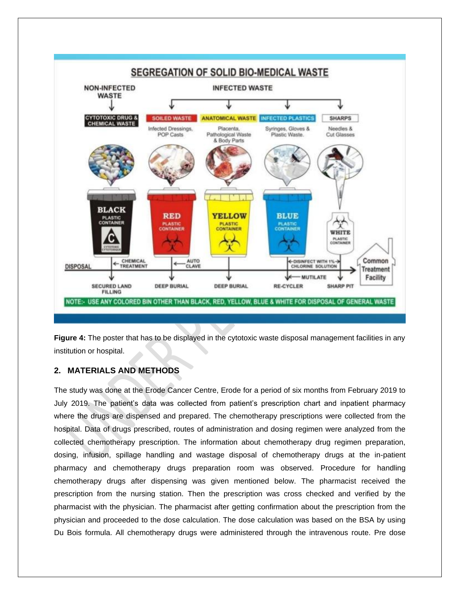

**Figure 4:** The poster that has to be displayed in the cytotoxic waste disposal management facilities in any institution or hospital.

# **2. MATERIALS AND METHODS**

The study was done at the Erode Cancer Centre, Erode for a period of six months from February 2019 to July 2019. The patient's data was collected from patient's prescription chart and inpatient pharmacy where the drugs are dispensed and prepared. The chemotherapy prescriptions were collected from the hospital. Data of drugs prescribed, routes of administration and dosing regimen were analyzed from the collected chemotherapy prescription. The information about chemotherapy drug regimen preparation, dosing, infusion, spillage handling and wastage disposal of chemotherapy drugs at the in-patient pharmacy and chemotherapy drugs preparation room was observed. Procedure for handling chemotherapy drugs after dispensing was given mentioned below. The pharmacist received the prescription from the nursing station. Then the prescription was cross checked and verified by the pharmacist with the physician. The pharmacist after getting confirmation about the prescription from the physician and proceeded to the dose calculation. The dose calculation was based on the BSA by using Du Bois formula. All chemotherapy drugs were administered through the intravenous route. Pre dose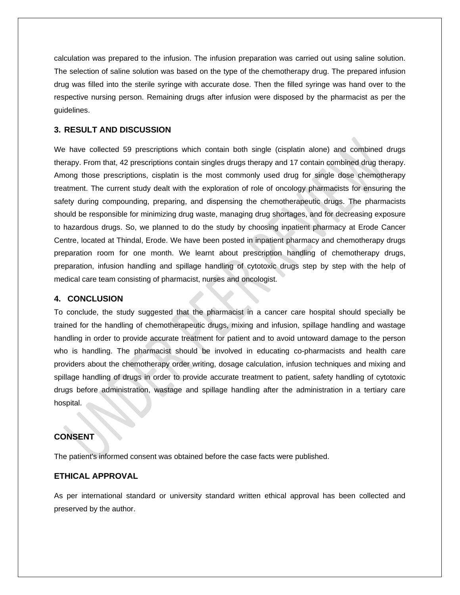calculation was prepared to the infusion. The infusion preparation was carried out using saline solution. The selection of saline solution was based on the type of the chemotherapy drug. The prepared infusion drug was filled into the sterile syringe with accurate dose. Then the filled syringe was hand over to the respective nursing person. Remaining drugs after infusion were disposed by the pharmacist as per the guidelines.

# **3. RESULT AND DISCUSSION**

We have collected 59 prescriptions which contain both single (cisplatin alone) and combined drugs therapy. From that, 42 prescriptions contain singles drugs therapy and 17 contain combined drug therapy. Among those prescriptions, cisplatin is the most commonly used drug for single dose chemotherapy treatment. The current study dealt with the exploration of role of oncology pharmacists for ensuring the safety during compounding, preparing, and dispensing the chemotherapeutic drugs. The pharmacists should be responsible for minimizing drug waste, managing drug shortages, and for decreasing exposure to hazardous drugs. So, we planned to do the study by choosing inpatient pharmacy at Erode Cancer Centre, located at Thindal, Erode. We have been posted in inpatient pharmacy and chemotherapy drugs preparation room for one month. We learnt about prescription handling of chemotherapy drugs, preparation, infusion handling and spillage handling of cytotoxic drugs step by step with the help of medical care team consisting of pharmacist, nurses and oncologist.

#### **4. CONCLUSION**

To conclude, the study suggested that the pharmacist in a cancer care hospital should specially be trained for the handling of chemotherapeutic drugs, mixing and infusion, spillage handling and wastage handling in order to provide accurate treatment for patient and to avoid untoward damage to the person who is handling. The pharmacist should be involved in educating co-pharmacists and health care providers about the chemotherapy order writing, dosage calculation, infusion techniques and mixing and spillage handling of drugs in order to provide accurate treatment to patient, safety handling of cytotoxic drugs before administration, wastage and spillage handling after the administration in a tertiary care hospital.

# **CONSENT**

The patient's informed consent was obtained before the case facts were published.

# **ETHICAL APPROVAL**

As per international standard or university standard written ethical approval has been collected and preserved by the author.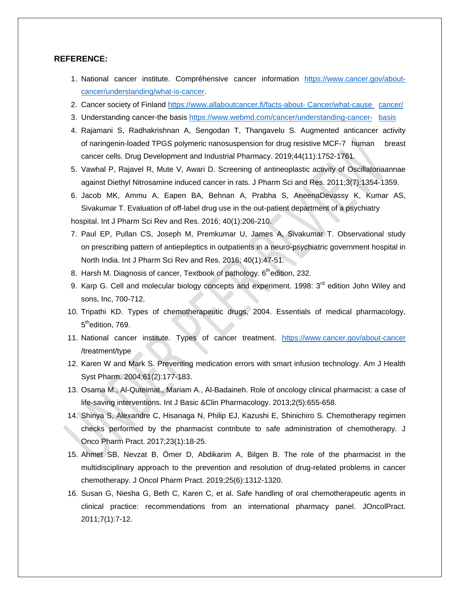### **REFERENCE:**

- 1. National cancer institute. Compréhensive cancer information [https://www.cancer.gov/about](https://www.cancer.gov/about-%09cancer/understanding/what-is-cancer)[cancer/understanding/what-is-cancer.](https://www.cancer.gov/about-%09cancer/understanding/what-is-cancer)
- 2. Cancer society of Finland [https://www.allaboutcancer.fi/facts-about-](https://www.allaboutcancer.fi/facts-about-%20Cancer/what-cause%20%09cancer/) Cancer/what-cause cancer/
- 3. Understanding cancer-the basis [https://www.webmd.com/cancer/understanding-cancer-](https://www.webmd.com/cancer/understanding-cancer-%09basis) basis
- 4. Rajamani S, Radhakrishnan A, Sengodan T, Thangavelu S. Augmented anticancer activity of naringenin-loaded TPGS polymeric nanosuspension for drug resistive MCF-7 human breast cancer cells. Drug Development and Industrial Pharmacy. 2019;44(11):1752-1761.
- 5. Vawhal P, Rajavel R, Mute V, Awari D. Screening of antineoplastic activity of Oscillatoriaannae against Diethyl Nitrosamine induced cancer in rats. J Pharm Sci and Res. 2011;3(7):1354-1359.
- 6. Jacob MK, Ammu A, Eapen BA, Behnan A, Prabha S, AneenaDevassy K, Kumar AS, Sivakumar T. Evaluation of off-label drug use in the out-patient department of a psychiatry hospital. Int J Pharm Sci Rev and Res. 2016; 40(1):206-210.
- 7. Paul EP, Pullan CS, Joseph M, Premkumar U, James A, Sivakumar T. Observational study on prescribing pattern of antiepileptics in outpatients in a neuro-psychiatric government hospital in North India. Int J Pharm Sci Rev and Res. 2016; 40(1):47-51.
- 8. Harsh M. Diagnosis of cancer, Textbook of pathology.  $6<sup>th</sup>$ edition, 232.
- 9. Karp G. Cell and molecular biology concepts and experiment. 1998:  $3<sup>rd</sup>$  edition John Wiley and sons, Inc, 700-712.
- 10. Tripathi KD. Types of chemotherapeutic drugs, 2004. Essentials of medical pharmacology, 5<sup>th</sup>edition, 769.
- 11. National cancer institute. Types of cancer treatment. <https://www.cancer.gov/about-cancer> /treatment/type
- 12. Karen W and Mark S. Preventing medication errors with smart infusion technology. Am J Health Syst Pharm. 2004;61(2):177-183.
- 13. Osama M., Al-Quteimat., Mariam A., Al-Badaineh. Role of oncology clinical pharmacist: a case of life-saving interventions. Int J Basic &Clin Pharmacology. 2013;2(5):655-658.
- 14. Shinya S, Alexandre C, Hisanaga N, Philip EJ, Kazushi E, Shinichiro S. Chemotherapy regimen checks performed by the pharmacist contribute to safe administration of chemotherapy. J Onco Pharm Pract. 2017;23(1):18-25.
- 15. Ahmet SB, Nevzat B, Ömer D, Abdikarim A, Bilgen B. The role of the pharmacist in the multidisciplinary approach to the prevention and resolution of drug-related problems in cancer chemotherapy. J Oncol Pharm Pract. 2019;25(6):1312-1320.
- 16. Susan G, Niesha G, Beth C, Karen C, et al. Safe handling of oral chemotherapeutic agents in clinical practice: recommendations from an international pharmacy panel. JOncolPract. 2011;7(1):7-12.